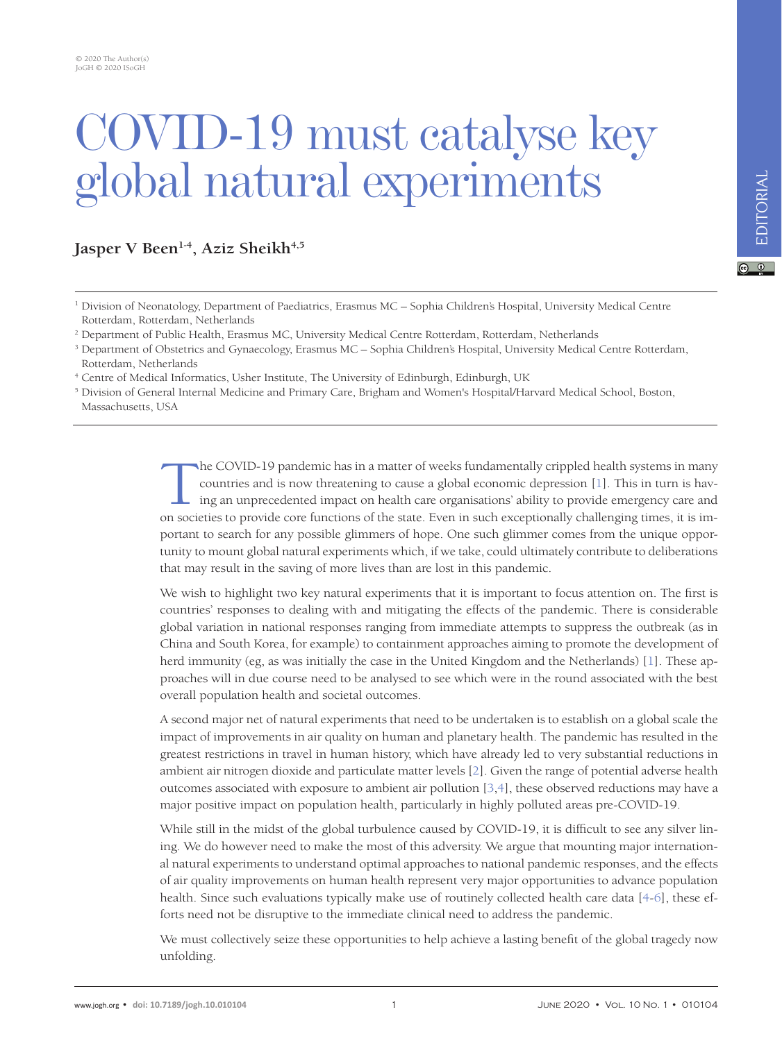## COVID-19 must catalyse key global natural experiments

Jasper V Been<sup>1-4</sup>, Aziz Sheikh<sup>4,5</sup>

- <sup>1</sup> Division of Neonatology, Department of Paediatrics, Erasmus MC Sophia Children's Hospital, University Medical Centre Rotterdam, Rotterdam, Netherlands
- 2 Department of Public Health, Erasmus MC, University Medical Centre Rotterdam, Rotterdam, Netherlands
- <sup>3</sup> Department of Obstetrics and Gynaecology, Erasmus MC Sophia Children's Hospital, University Medical Centre Rotterdam, Rotterdam, Netherlands
- <sup>4</sup> Centre of Medical Informatics, Usher Institute, The University of Edinburgh, Edinburgh, UK

<sup>5</sup> Division of General Internal Medicine and Primary Care, Brigham and Women's Hospital/Harvard Medical School, Boston, Massachusetts, USA

> The COVID-19 pandemic has in a matter of weeks fundamentally crippled health systems in many<br>countries and is now threatening to cause a global economic depression [1]. This in turn is hav-<br>ing an unprecedented impact on h countries and is now threatening to cause a global economic depression [1]. This in turn is having an unprecedented impact on health care organisations' ability to provide emergency care and on societies to provide core functions of the state. Even in such exceptionally challenging times, it is important to search for any possible glimmers of hope. One such glimmer comes from the unique opportunity to mount global natural experiments which, if we take, could ultimately contribute to deliberations that may result in the saving of more lives than are lost in this pandemic.

> We wish to highlight two key natural experiments that it is important to focus attention on. The first is countries' responses to dealing with and mitigating the effects of the pandemic. There is considerable global variation in national responses ranging from immediate attempts to suppress the outbreak (as in China and South Korea, for example) to containment approaches aiming to promote the development of herd immunity (eg, as was initially the case in the United Kingdom and the Netherlands) [\[1](#page-1-0)]. These approaches will in due course need to be analysed to see which were in the round associated with the best overall population health and societal outcomes.

> A second major net of natural experiments that need to be undertaken is to establish on a global scale the impact of improvements in air quality on human and planetary health. The pandemic has resulted in the greatest restrictions in travel in human history, which have already led to very substantial reductions in ambient air nitrogen dioxide and particulate matter levels [\[2](#page-1-1)]. Given the range of potential adverse health outcomes associated with exposure to ambient air pollution [\[3](#page-1-2)[,4](#page-1-3)], these observed reductions may have a major positive impact on population health, particularly in highly polluted areas pre-COVID-19.

> While still in the midst of the global turbulence caused by COVID-19, it is difficult to see any silver lining. We do however need to make the most of this adversity. We argue that mounting major international natural experiments to understand optimal approaches to national pandemic responses, and the effects of air quality improvements on human health represent very major opportunities to advance population health. Since such evaluations typically make use of routinely collected health care data [\[4](#page-1-3)[-6\]](#page-1-4), these efforts need not be disruptive to the immediate clinical need to address the pandemic.

> We must collectively seize these opportunities to help achieve a lasting benefit of the global tragedy now unfolding.